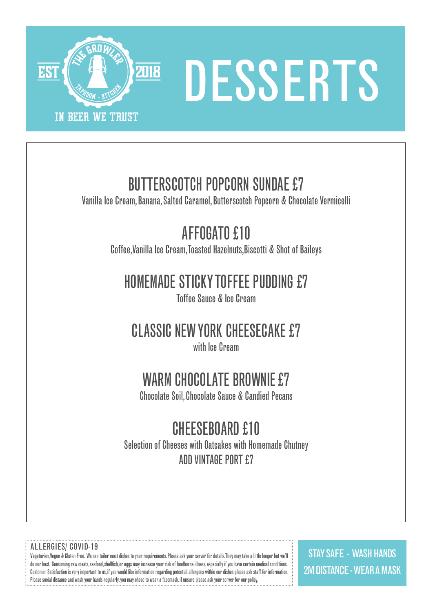

# DESSERTS

## BUTTERSCOTCH POPCORN SUNDAE £7

Vanilla Ice Cream, Banana, Salted Caramel, Butterscotch Popcorn & Chocolate Vermicelli

# AFFOGATO £10

Coffee,Vanilla Ice Cream,Toasted Hazelnuts,Biscotti & Shot of Baileys

### HOMEMADE STICKY TOFFEE PUDDING £7

Toffee Sauce & Ice Cream

# CLASSIC NEW YORK CHEESECAKE £7

with Ice Cream

## WARM CHOCOLATE BROWNIE£7

Chocolate Soil, Chocolate Sauce & Candied Pecans

# CHEESEBOARD £10

Selection of Cheeses with Oatcakes with Homemade Chutney ADD VINTAGE PORT £7

#### ALLERGIES/ COVID-19

Vegetarian, Vegan & Gluten Free. We can tailor most dishes to your requirements. Please ask your server for details. They may take a little longer but we'll do our best. Consuming raw meats, seafood, shellfish, or eggs may increase your risk of foodborne illness, especially if you have certain medical conditions. Customer Satisfaction is very important to us, if you would like information regarding potential allergens within our dishes please ask staff for information. Please social distance and wash your hands regularly. you may chose to wear a facemask. if unsure please ask your server for our policy.

STAY SAFE - WASH HANDS 2M DISTANCE - WEAR A MASK